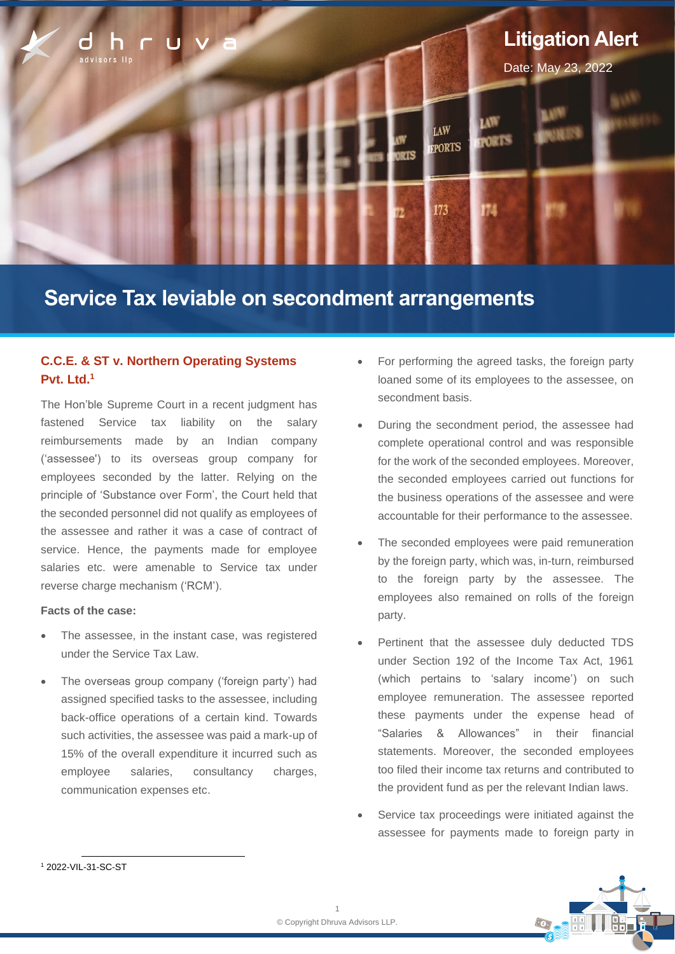

# **Service Tax leviable on secondment arrangements**

# **C.C.E. & ST v. Northern Operating Systems Pvt. Ltd.<sup>1</sup>**

The Hon'ble Supreme Court in a recent judgment has fastened Service tax liability on the salary reimbursements made by an Indian company ('assessee') to its overseas group company for employees seconded by the latter. Relying on the principle of 'Substance over Form', the Court held that the seconded personnel did not qualify as employees of the assessee and rather it was a case of contract of service. Hence, the payments made for employee salaries etc. were amenable to Service tax under reverse charge mechanism ('RCM').

## **Facts of the case:**

- The assessee, in the instant case, was registered under the Service Tax Law.
- The overseas group company ('foreign party') had assigned specified tasks to the assessee, including back-office operations of a certain kind. Towards such activities, the assessee was paid a mark-up of 15% of the overall expenditure it incurred such as employee salaries, consultancy charges, communication expenses etc.
- For performing the agreed tasks, the foreign party loaned some of its employees to the assessee, on secondment basis.
- During the secondment period, the assessee had complete operational control and was responsible for the work of the seconded employees. Moreover, the seconded employees carried out functions for the business operations of the assessee and were accountable for their performance to the assessee.
- The seconded employees were paid remuneration by the foreign party, which was, in-turn, reimbursed to the foreign party by the assessee. The employees also remained on rolls of the foreign party.
- Pertinent that the assessee duly deducted TDS under Section 192 of the Income Tax Act, 1961 (which pertains to 'salary income') on such employee remuneration. The assessee reported these payments under the expense head of "Salaries & Allowances" in their financial statements. Moreover, the seconded employees too filed their income tax returns and contributed to the provident fund as per the relevant Indian laws.
- Service tax proceedings were initiated against the assessee for payments made to foreign party in



<sup>1</sup> 2022-VIL-31-SC-ST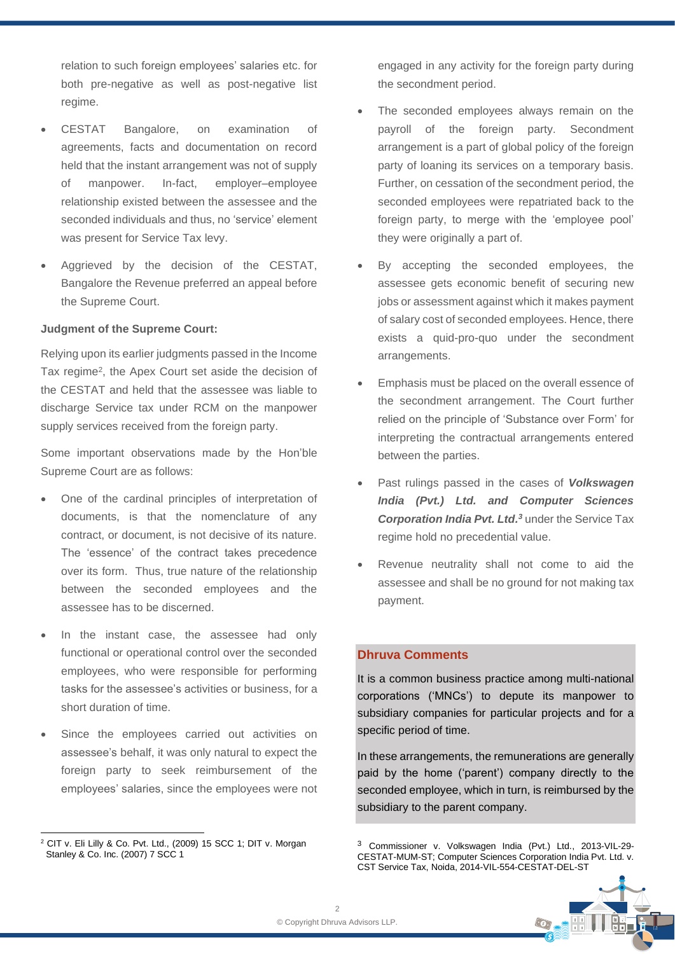relation to such foreign employees' salaries etc. for both pre-negative as well as post-negative list regime.

- CESTAT Bangalore, on examination of agreements, facts and documentation on record held that the instant arrangement was not of supply of manpower. In-fact, employer–employee relationship existed between the assessee and the seconded individuals and thus, no 'service' element was present for Service Tax levy.
- Aggrieved by the decision of the CESTAT, Bangalore the Revenue preferred an appeal before the Supreme Court.

## **Judgment of the Supreme Court:**

Relying upon its earlier judgments passed in the Income Tax regime<sup>2</sup>, the Apex Court set aside the decision of the CESTAT and held that the assessee was liable to discharge Service tax under RCM on the manpower supply services received from the foreign party.

Some important observations made by the Hon'ble Supreme Court are as follows:

- One of the cardinal principles of interpretation of documents, is that the nomenclature of any contract, or document, is not decisive of its nature. The 'essence' of the contract takes precedence over its form. Thus, true nature of the relationship between the seconded employees and the assessee has to be discerned.
- In the instant case, the assessee had only functional or operational control over the seconded employees, who were responsible for performing tasks for the assessee's activities or business, for a short duration of time.
- Since the employees carried out activities on assessee's behalf, it was only natural to expect the foreign party to seek reimbursement of the employees' salaries, since the employees were not

engaged in any activity for the foreign party during the secondment period.

- The seconded employees always remain on the payroll of the foreign party. Secondment arrangement is a part of global policy of the foreign party of loaning its services on a temporary basis. Further, on cessation of the secondment period, the seconded employees were repatriated back to the foreign party, to merge with the 'employee pool' they were originally a part of.
- By accepting the seconded employees, the assessee gets economic benefit of securing new jobs or assessment against which it makes payment of salary cost of seconded employees. Hence, there exists a quid-pro-quo under the secondment arrangements.
- Emphasis must be placed on the overall essence of the secondment arrangement. The Court further relied on the principle of 'Substance over Form' for interpreting the contractual arrangements entered between the parties.
- Past rulings passed in the cases of *Volkswagen India (Pvt.) Ltd. and Computer Sciences Corporation India Pvt. Ltd.<sup>3</sup>* under the Service Tax regime hold no precedential value.
- Revenue neutrality shall not come to aid the assessee and shall be no ground for not making tax payment.

# **Dhruva Comments**

It is a common business practice among multi-national corporations ('MNCs') to depute its manpower to subsidiary companies for particular projects and for a specific period of time.

In these arrangements, the remunerations are generally paid by the home ('parent') company directly to the seconded employee, which in turn, is reimbursed by the subsidiary to the parent company.

<sup>3</sup> Commissioner v. Volkswagen India (Pvt.) Ltd., 2013-VIL-29- CESTAT-MUM-ST; Computer Sciences Corporation India Pvt. Ltd. v. CST Service Tax, Noida, 2014-VIL-554-CESTAT-DEL-ST



<sup>2</sup> CIT v. Eli Lilly & Co. Pvt. Ltd., (2009) 15 SCC 1; DIT v. Morgan Stanley & Co. Inc. (2007) 7 SCC 1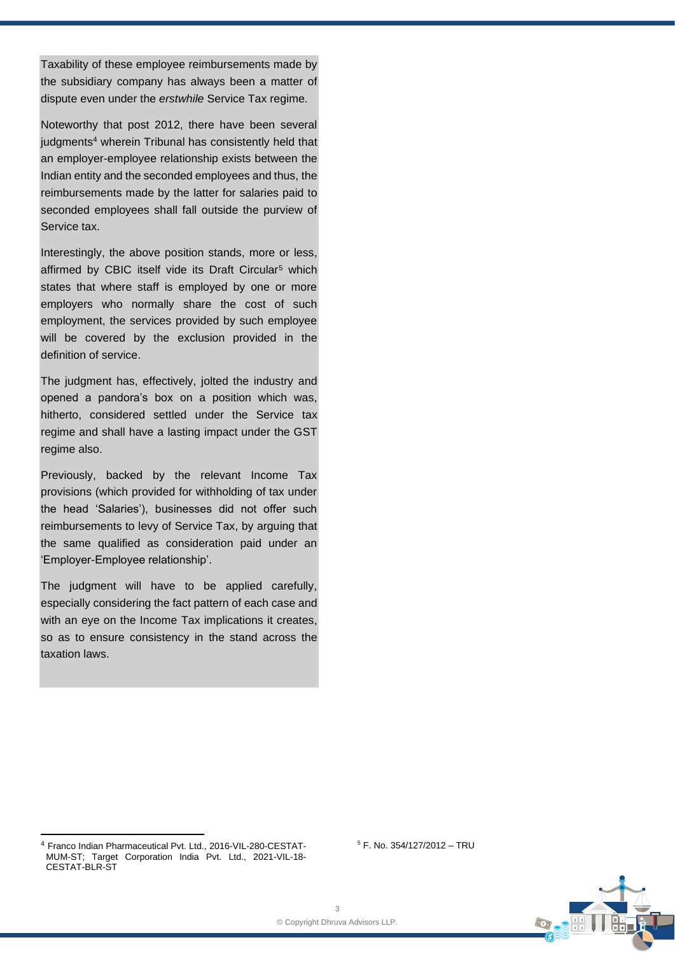Taxability of these employee reimbursements made by the subsidiary company has always been a matter of dispute even under the *erstwhile* Service Tax regime.

Noteworthy that post 2012, there have been several judgments<sup>4</sup> wherein Tribunal has consistently held that an employer-employee relationship exists between the Indian entity and the seconded employees and thus, the reimbursements made by the latter for salaries paid to seconded employees shall fall outside the purview of Service tax.

Interestingly, the above position stands, more or less, affirmed by CBIC itself vide its Draft Circular<sup>5</sup> which states that where staff is employed by one or more employers who normally share the cost of such employment, the services provided by such employee will be covered by the exclusion provided in the definition of service.

The judgment has, effectively, jolted the industry and opened a pandora's box on a position which was, hitherto, considered settled under the Service tax regime and shall have a lasting impact under the GST regime also.

Previously, backed by the relevant Income Tax provisions (which provided for withholding of tax under the head 'Salaries'), businesses did not offer such reimbursements to levy of Service Tax, by arguing that the same qualified as consideration paid under an 'Employer-Employee relationship'.

The judgment will have to be applied carefully, especially considering the fact pattern of each case and with an eye on the Income Tax implications it creates, so as to ensure consistency in the stand across the taxation laws.

 $5$  F. No. 354/127/2012 - TRU

<sup>4</sup> Franco Indian Pharmaceutical Pvt. Ltd., 2016-VIL-280-CESTAT-MUM-ST; Target Corporation India Pvt. Ltd., 2021-VIL-18- CESTAT-BLR-ST